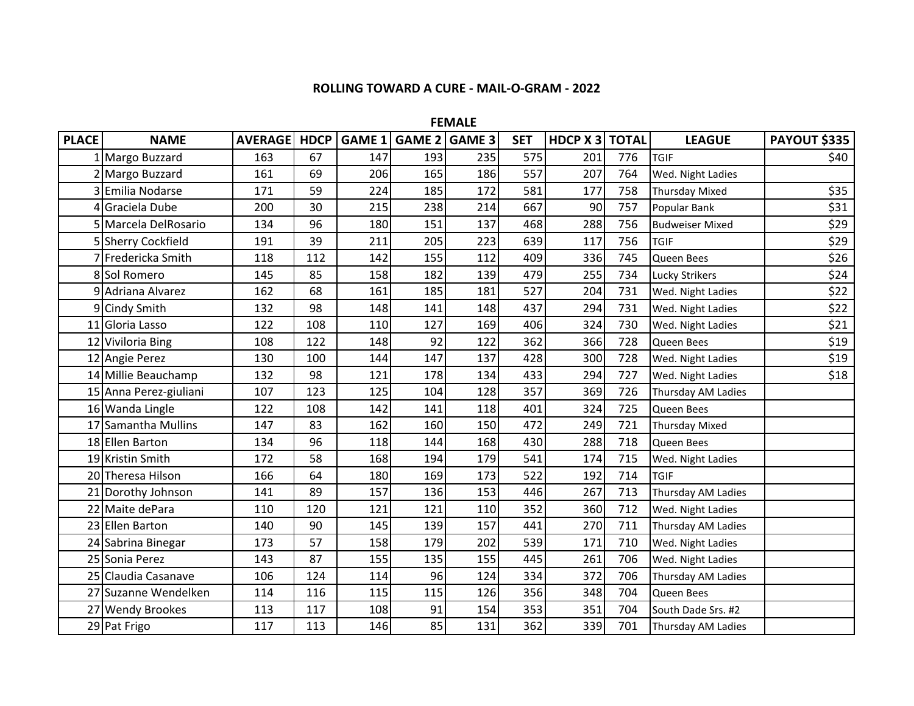## **ROLLING TOWARD A CURE - MAIL-O-GRAM - 2022**

**FEMALE** 

| <b>PLACE</b> | <b>NAME</b>            | <b>AVERAGE</b> | <b>HDCP</b> | GAME 1 | GAME 2 GAME 3 |     | <b>SET</b> | <b>HDCP X 3 TOTAL</b> |     | <b>LEAGUE</b>          | <b>PAYOUT \$335</b> |
|--------------|------------------------|----------------|-------------|--------|---------------|-----|------------|-----------------------|-----|------------------------|---------------------|
|              | 1 Margo Buzzard        | 163            | 67          | 147    | 193           | 235 | 575        | 201                   | 776 | <b>TGIF</b>            | \$40                |
|              | 2 Margo Buzzard        | 161            | 69          | 206    | 165           | 186 | 557        | 207                   | 764 | Wed. Night Ladies      |                     |
|              | 3 Emilia Nodarse       | 171            | 59          | 224    | 185           | 172 | 581        | 177                   | 758 | <b>Thursday Mixed</b>  | \$35                |
| 4            | Graciela Dube          | 200            | 30          | 215    | 238           | 214 | 667        | 90                    | 757 | Popular Bank           | \$31                |
|              | 5 Marcela DelRosario   | 134            | 96          | 180    | 151           | 137 | 468        | 288                   | 756 | <b>Budweiser Mixed</b> | \$29                |
|              | 5 Sherry Cockfield     | 191            | 39          | 211    | 205           | 223 | 639        | 117                   | 756 | <b>TGIF</b>            | \$29                |
|              | 7 Fredericka Smith     | 118            | 112         | 142    | 155           | 112 | 409        | 336                   | 745 | Queen Bees             | \$26                |
|              | 8 Sol Romero           | 145            | 85          | 158    | 182           | 139 | 479        | 255                   | 734 | <b>Lucky Strikers</b>  | \$24                |
|              | 9 Adriana Alvarez      | 162            | 68          | 161    | 185           | 181 | 527        | 204                   | 731 | Wed. Night Ladies      | \$22                |
|              | 9 Cindy Smith          | 132            | 98          | 148    | 141           | 148 | 437        | 294                   | 731 | Wed. Night Ladies      | \$22                |
|              | 11 Gloria Lasso        | 122            | 108         | 110    | 127           | 169 | 406        | 324                   | 730 | Wed. Night Ladies      | \$21                |
|              | 12 Viviloria Bing      | 108            | 122         | 148    | 92            | 122 | 362        | 366                   | 728 | Queen Bees             | \$19                |
|              | 12 Angie Perez         | 130            | 100         | 144    | 147           | 137 | 428        | 300                   | 728 | Wed. Night Ladies      | \$19                |
|              | 14 Millie Beauchamp    | 132            | 98          | 121    | 178           | 134 | 433        | 294                   | 727 | Wed. Night Ladies      | \$18                |
|              | 15 Anna Perez-giuliani | 107            | 123         | 125    | 104           | 128 | 357        | 369                   | 726 | Thursday AM Ladies     |                     |
|              | 16 Wanda Lingle        | 122            | 108         | 142    | 141           | 118 | 401        | 324                   | 725 | Queen Bees             |                     |
|              | 17 Samantha Mullins    | 147            | 83          | 162    | 160           | 150 | 472        | 249                   | 721 | <b>Thursday Mixed</b>  |                     |
|              | 18 Ellen Barton        | 134            | 96          | 118    | 144           | 168 | 430        | 288                   | 718 | Queen Bees             |                     |
|              | 19 Kristin Smith       | 172            | 58          | 168    | 194           | 179 | 541        | 174                   | 715 | Wed. Night Ladies      |                     |
|              | 20 Theresa Hilson      | 166            | 64          | 180    | 169           | 173 | 522        | 192                   | 714 | <b>TGIF</b>            |                     |
|              | 21 Dorothy Johnson     | 141            | 89          | 157    | 136           | 153 | 446        | 267                   | 713 | Thursday AM Ladies     |                     |
|              | 22 Maite dePara        | 110            | 120         | 121    | 121           | 110 | 352        | 360                   | 712 | Wed. Night Ladies      |                     |
|              | 23 Ellen Barton        | 140            | 90          | 145    | 139           | 157 | 441        | 270                   | 711 | Thursday AM Ladies     |                     |
|              | 24 Sabrina Binegar     | 173            | 57          | 158    | 179           | 202 | 539        | 171                   | 710 | Wed. Night Ladies      |                     |
|              | 25 Sonia Perez         | 143            | 87          | 155    | 135           | 155 | 445        | 261                   | 706 | Wed. Night Ladies      |                     |
|              | 25 Claudia Casanave    | 106            | 124         | 114    | 96            | 124 | 334        | 372                   | 706 | Thursday AM Ladies     |                     |
|              | 27 Suzanne Wendelken   | 114            | 116         | 115    | 115           | 126 | 356        | 348                   | 704 | Queen Bees             |                     |
|              | 27 Wendy Brookes       | 113            | 117         | 108    | 91            | 154 | 353        | 351                   | 704 | South Dade Srs. #2     |                     |
|              | 29 Pat Frigo           | 117            | 113         | 146    | 85            | 131 | 362        | 339                   | 701 | Thursday AM Ladies     |                     |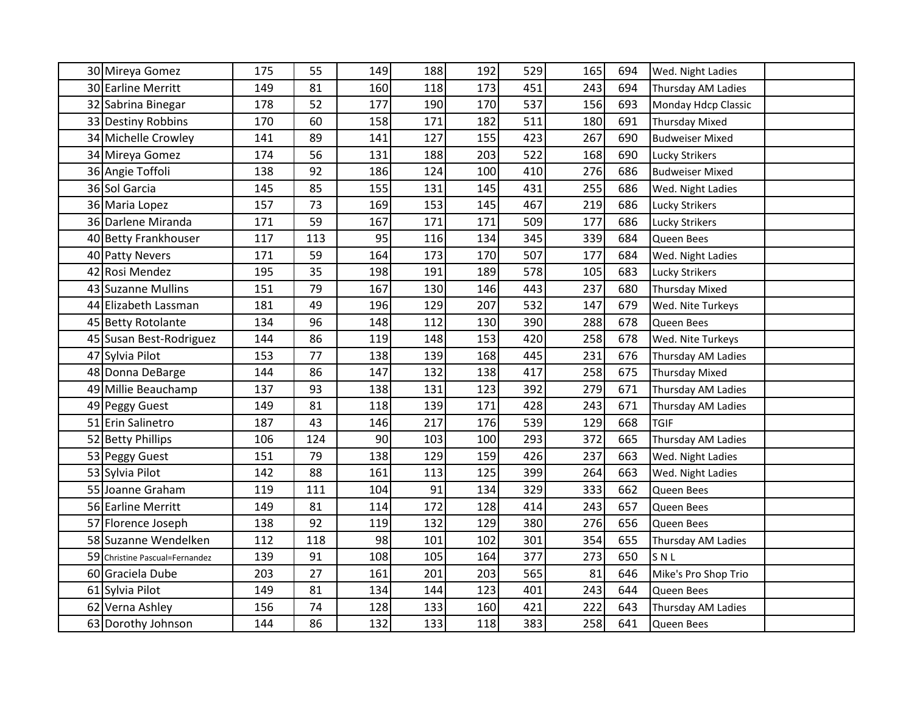| 30 Mireya Gomez                | 175 | 55  | 149 | 188 | 192 | 529 | 165 | 694 | Wed. Night Ladies      |  |
|--------------------------------|-----|-----|-----|-----|-----|-----|-----|-----|------------------------|--|
| 30 Earline Merritt             | 149 | 81  | 160 | 118 | 173 | 451 | 243 | 694 | Thursday AM Ladies     |  |
| 32 Sabrina Binegar             | 178 | 52  | 177 | 190 | 170 | 537 | 156 | 693 | Monday Hdcp Classic    |  |
| 33 Destiny Robbins             | 170 | 60  | 158 | 171 | 182 | 511 | 180 | 691 | <b>Thursday Mixed</b>  |  |
| 34 Michelle Crowley            | 141 | 89  | 141 | 127 | 155 | 423 | 267 | 690 | <b>Budweiser Mixed</b> |  |
| 34 Mireya Gomez                | 174 | 56  | 131 | 188 | 203 | 522 | 168 | 690 | Lucky Strikers         |  |
| 36 Angie Toffoli               | 138 | 92  | 186 | 124 | 100 | 410 | 276 | 686 | <b>Budweiser Mixed</b> |  |
| 36 Sol Garcia                  | 145 | 85  | 155 | 131 | 145 | 431 | 255 | 686 | Wed. Night Ladies      |  |
| 36 Maria Lopez                 | 157 | 73  | 169 | 153 | 145 | 467 | 219 | 686 | Lucky Strikers         |  |
| 36 Darlene Miranda             | 171 | 59  | 167 | 171 | 171 | 509 | 177 | 686 | Lucky Strikers         |  |
| 40 Betty Frankhouser           | 117 | 113 | 95  | 116 | 134 | 345 | 339 | 684 | Queen Bees             |  |
| 40 Patty Nevers                | 171 | 59  | 164 | 173 | 170 | 507 | 177 | 684 | Wed. Night Ladies      |  |
| 42 Rosi Mendez                 | 195 | 35  | 198 | 191 | 189 | 578 | 105 | 683 | Lucky Strikers         |  |
| 43 Suzanne Mullins             | 151 | 79  | 167 | 130 | 146 | 443 | 237 | 680 | Thursday Mixed         |  |
| 44 Elizabeth Lassman           | 181 | 49  | 196 | 129 | 207 | 532 | 147 | 679 | Wed. Nite Turkeys      |  |
| 45 Betty Rotolante             | 134 | 96  | 148 | 112 | 130 | 390 | 288 | 678 | Queen Bees             |  |
| 45 Susan Best-Rodriguez        | 144 | 86  | 119 | 148 | 153 | 420 | 258 | 678 | Wed. Nite Turkeys      |  |
| 47 Sylvia Pilot                | 153 | 77  | 138 | 139 | 168 | 445 | 231 | 676 | Thursday AM Ladies     |  |
| 48 Donna DeBarge               | 144 | 86  | 147 | 132 | 138 | 417 | 258 | 675 | <b>Thursday Mixed</b>  |  |
| 49 Millie Beauchamp            | 137 | 93  | 138 | 131 | 123 | 392 | 279 | 671 | Thursday AM Ladies     |  |
| 49 Peggy Guest                 | 149 | 81  | 118 | 139 | 171 | 428 | 243 | 671 | Thursday AM Ladies     |  |
| 51 Erin Salinetro              | 187 | 43  | 146 | 217 | 176 | 539 | 129 | 668 | <b>TGIF</b>            |  |
| 52 Betty Phillips              | 106 | 124 | 90  | 103 | 100 | 293 | 372 | 665 | Thursday AM Ladies     |  |
| 53 Peggy Guest                 | 151 | 79  | 138 | 129 | 159 | 426 | 237 | 663 | Wed. Night Ladies      |  |
| 53 Sylvia Pilot                | 142 | 88  | 161 | 113 | 125 | 399 | 264 | 663 | Wed. Night Ladies      |  |
| 55 Joanne Graham               | 119 | 111 | 104 | 91  | 134 | 329 | 333 | 662 | Queen Bees             |  |
| 56 Earline Merritt             | 149 | 81  | 114 | 172 | 128 | 414 | 243 | 657 | Queen Bees             |  |
| 57 Florence Joseph             | 138 | 92  | 119 | 132 | 129 | 380 | 276 | 656 | Queen Bees             |  |
| 58 Suzanne Wendelken           | 112 | 118 | 98  | 101 | 102 | 301 | 354 | 655 | Thursday AM Ladies     |  |
| 59 Christine Pascual=Fernandez | 139 | 91  | 108 | 105 | 164 | 377 | 273 | 650 | SNL                    |  |
| 60 Graciela Dube               | 203 | 27  | 161 | 201 | 203 | 565 | 81  | 646 | Mike's Pro Shop Trio   |  |
| 61 Sylvia Pilot                | 149 | 81  | 134 | 144 | 123 | 401 | 243 | 644 | Queen Bees             |  |
| 62 Verna Ashley                | 156 | 74  | 128 | 133 | 160 | 421 | 222 | 643 | Thursday AM Ladies     |  |
| 63 Dorothy Johnson             | 144 | 86  | 132 | 133 | 118 | 383 | 258 | 641 | Queen Bees             |  |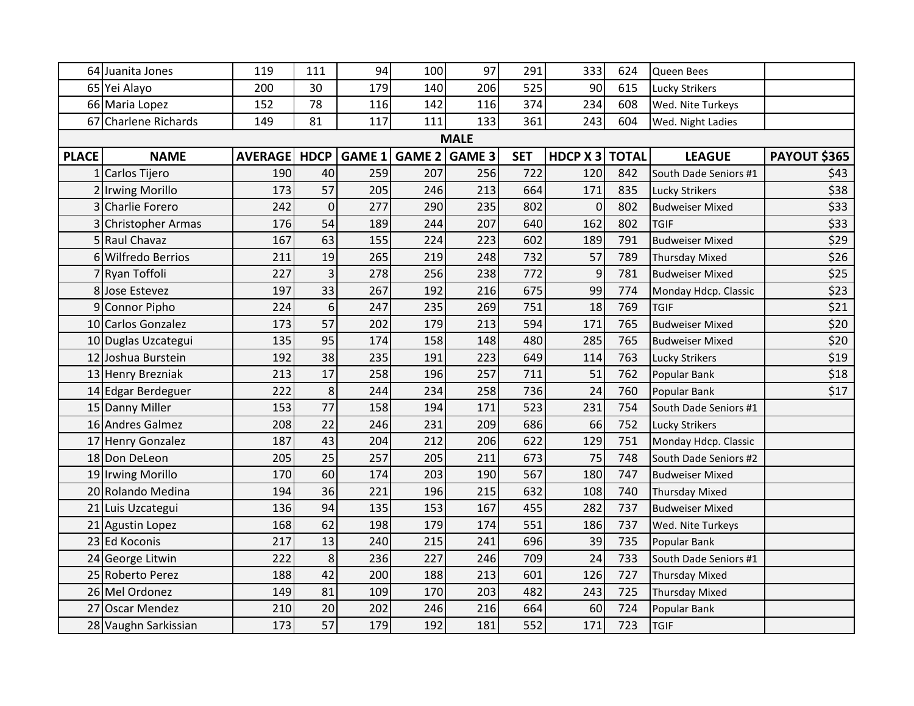|              | 64 Juanita Jones     | 119            | 111         | 94            | 100           | 97          | 291        | 333            | 624 | Queen Bees             |                     |
|--------------|----------------------|----------------|-------------|---------------|---------------|-------------|------------|----------------|-----|------------------------|---------------------|
|              | 65 Yei Alayo         | 200            | 30          | 179           | 140           | 206         | 525        | 90             | 615 | <b>Lucky Strikers</b>  |                     |
|              | 66 Maria Lopez       | 152            | 78          | 116           | 142           | 116         | 374        | 234            | 608 | Wed. Nite Turkeys      |                     |
|              | 67 Charlene Richards | 149            | 81          | 117           | 111           | 133         | 361        | 243            | 604 | Wed. Night Ladies      |                     |
|              |                      |                |             |               |               | <b>MALE</b> |            |                |     |                        |                     |
| <b>PLACE</b> | <b>NAME</b>          | <b>AVERAGE</b> | <b>HDCP</b> | <b>GAME 1</b> | GAME 2 GAME 3 |             | <b>SET</b> | HDCP X 3 TOTAL |     | <b>LEAGUE</b>          | <b>PAYOUT \$365</b> |
|              | 1 Carlos Tijero      | 190            | 40          | 259           | 207           | 256         | 722        | 120            | 842 | South Dade Seniors #1  | \$43                |
|              | 2 Irwing Morillo     | 173            | 57          | 205           | 246           | 213         | 664        | 171            | 835 | Lucky Strikers         | \$38                |
|              | 3 Charlie Forero     | 242            | $\mathbf 0$ | 277           | 290           | 235         | 802        | $\overline{0}$ | 802 | <b>Budweiser Mixed</b> | \$33                |
|              | 3 Christopher Armas  | 176            | 54          | 189           | 244           | 207         | 640        | 162            | 802 | <b>TGIF</b>            | \$33                |
| 5            | Raul Chavaz          | 167            | 63          | 155           | 224           | 223         | 602        | 189            | 791 | <b>Budweiser Mixed</b> | \$29                |
|              | 6 Wilfredo Berrios   | 211            | 19          | 265           | 219           | 248         | 732        | 57             | 789 | <b>Thursday Mixed</b>  | \$26                |
|              | 7 Ryan Toffoli       | 227            | 3           | 278           | 256           | 238         | 772        | 9              | 781 | <b>Budweiser Mixed</b> | \$25                |
|              | 8 Jose Estevez       | 197            | 33          | 267           | 192           | 216         | 675        | 99             | 774 | Monday Hdcp. Classic   | \$23                |
| 9            | Connor Pipho         | 224            | 6           | 247           | 235           | 269         | 751        | 18             | 769 | <b>TGIF</b>            | \$21                |
|              | 10 Carlos Gonzalez   | 173            | 57          | 202           | 179           | 213         | 594        | 171            | 765 | <b>Budweiser Mixed</b> | \$20                |
|              | 10 Duglas Uzcategui  | 135            | 95          | 174           | 158           | 148         | 480        | 285            | 765 | <b>Budweiser Mixed</b> | \$20                |
|              | 12 Joshua Burstein   | 192            | 38          | 235           | 191           | 223         | 649        | 114            | 763 | <b>Lucky Strikers</b>  | \$19                |
|              | 13 Henry Brezniak    | 213            | 17          | 258           | 196           | 257         | 711        | 51             | 762 | Popular Bank           | \$18                |
|              | 14 Edgar Berdeguer   | 222            | 8           | 244           | 234           | 258         | 736        | 24             | 760 | Popular Bank           | \$17                |
|              | 15 Danny Miller      | 153            | 77          | 158           | 194           | 171         | 523        | 231            | 754 | South Dade Seniors #1  |                     |
|              | 16 Andres Galmez     | 208            | 22          | 246           | 231           | 209         | 686        | 66             | 752 | Lucky Strikers         |                     |
|              | 17 Henry Gonzalez    | 187            | 43          | 204           | 212           | 206         | 622        | 129            | 751 | Monday Hdcp. Classic   |                     |
|              | 18 Don DeLeon        | 205            | 25          | 257           | 205           | 211         | 673        | 75             | 748 | South Dade Seniors #2  |                     |
|              | 19 Irwing Morillo    | 170            | 60          | 174           | 203           | 190         | 567        | 180            | 747 | <b>Budweiser Mixed</b> |                     |
|              | 20 Rolando Medina    | 194            | 36          | 221           | 196           | 215         | 632        | 108            | 740 | <b>Thursday Mixed</b>  |                     |
|              | 21 Luis Uzcategui    | 136            | 94          | 135           | 153           | 167         | 455        | 282            | 737 | <b>Budweiser Mixed</b> |                     |
|              | 21 Agustin Lopez     | 168            | 62          | 198           | 179           | 174         | 551        | 186            | 737 | Wed. Nite Turkeys      |                     |
|              | 23 Ed Koconis        | 217            | 13          | 240           | 215           | 241         | 696        | 39             | 735 | Popular Bank           |                     |
|              | 24 George Litwin     | 222            | 8           | 236           | 227           | 246         | 709        | 24             | 733 | South Dade Seniors #1  |                     |
|              | 25 Roberto Perez     | 188            | 42          | 200           | 188           | 213         | 601        | 126            | 727 | <b>Thursday Mixed</b>  |                     |
|              | 26 Mel Ordonez       | 149            | 81          | 109           | 170           | 203         | 482        | 243            | 725 | <b>Thursday Mixed</b>  |                     |
|              | 27 Oscar Mendez      | 210            | 20          | 202           | 246           | 216         | 664        | 60             | 724 | Popular Bank           |                     |
|              | 28 Vaughn Sarkissian | 173            | 57          | 179           | 192           | 181         | 552        | 171            | 723 | <b>TGIF</b>            |                     |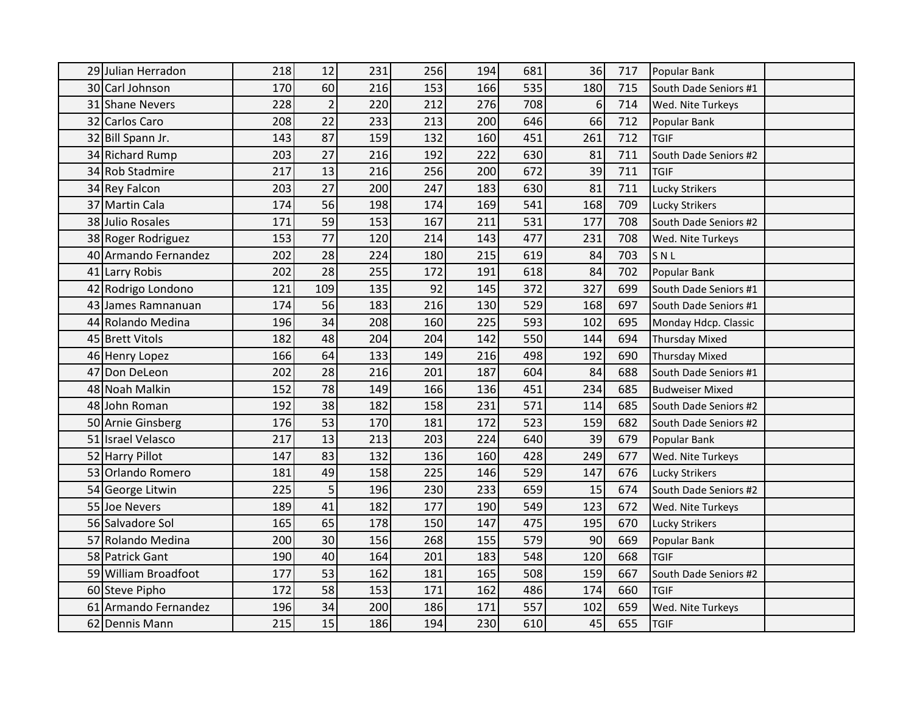| 29 Julian Herradon   | 218 | 12              | 231 | 256 | 194 | 681 | 36               | 717 | Popular Bank           |
|----------------------|-----|-----------------|-----|-----|-----|-----|------------------|-----|------------------------|
| 30 Carl Johnson      | 170 | 60              | 216 | 153 | 166 | 535 | 180              | 715 | South Dade Seniors #1  |
| 31 Shane Nevers      | 228 | $\overline{2}$  | 220 | 212 | 276 | 708 | $6 \overline{6}$ | 714 | Wed. Nite Turkeys      |
| 32 Carlos Caro       | 208 | 22              | 233 | 213 | 200 | 646 | 66               | 712 | Popular Bank           |
| 32 Bill Spann Jr.    | 143 | 87              | 159 | 132 | 160 | 451 | 261              | 712 | <b>TGIF</b>            |
| 34 Richard Rump      | 203 | 27              | 216 | 192 | 222 | 630 | 81               | 711 | South Dade Seniors #2  |
| 34 Rob Stadmire      | 217 | 13              | 216 | 256 | 200 | 672 | 39               | 711 | <b>TGIF</b>            |
| 34 Rey Falcon        | 203 | 27              | 200 | 247 | 183 | 630 | 81               | 711 | Lucky Strikers         |
| 37 Martin Cala       | 174 | 56              | 198 | 174 | 169 | 541 | 168              | 709 | <b>Lucky Strikers</b>  |
| 38 Julio Rosales     | 171 | 59              | 153 | 167 | 211 | 531 | 177              | 708 | South Dade Seniors #2  |
| 38 Roger Rodriguez   | 153 | 77              | 120 | 214 | 143 | 477 | 231              | 708 | Wed. Nite Turkeys      |
| 40 Armando Fernandez | 202 | 28              | 224 | 180 | 215 | 619 | 84               | 703 | SNL                    |
| 41 Larry Robis       | 202 | 28              | 255 | 172 | 191 | 618 | 84               | 702 | Popular Bank           |
| 42 Rodrigo Londono   | 121 | 109             | 135 | 92  | 145 | 372 | 327              | 699 | South Dade Seniors #1  |
| 43 James Ramnanuan   | 174 | 56              | 183 | 216 | 130 | 529 | 168              | 697 | South Dade Seniors #1  |
| 44 Rolando Medina    | 196 | 34              | 208 | 160 | 225 | 593 | 102              | 695 | Monday Hdcp. Classic   |
| 45 Brett Vitols      | 182 | 48              | 204 | 204 | 142 | 550 | 144              | 694 | <b>Thursday Mixed</b>  |
| 46 Henry Lopez       | 166 | 64              | 133 | 149 | 216 | 498 | 192              | 690 | <b>Thursday Mixed</b>  |
| 47 Don DeLeon        | 202 | 28              | 216 | 201 | 187 | 604 | 84               | 688 | South Dade Seniors #1  |
| 48 Noah Malkin       | 152 | 78              | 149 | 166 | 136 | 451 | 234              | 685 | <b>Budweiser Mixed</b> |
| 48 John Roman        | 192 | 38              | 182 | 158 | 231 | 571 | 114              | 685 | South Dade Seniors #2  |
| 50 Arnie Ginsberg    | 176 | $\overline{53}$ | 170 | 181 | 172 | 523 | 159              | 682 | South Dade Seniors #2  |
| 51 Israel Velasco    | 217 | 13              | 213 | 203 | 224 | 640 | 39               | 679 | Popular Bank           |
| 52 Harry Pillot      | 147 | 83              | 132 | 136 | 160 | 428 | 249              | 677 | Wed. Nite Turkeys      |
| 53 Orlando Romero    | 181 | 49              | 158 | 225 | 146 | 529 | 147              | 676 | <b>Lucky Strikers</b>  |
| 54 George Litwin     | 225 | 5               | 196 | 230 | 233 | 659 | 15               | 674 | South Dade Seniors #2  |
| 55 Joe Nevers        | 189 | 41              | 182 | 177 | 190 | 549 | 123              | 672 | Wed. Nite Turkeys      |
| 56 Salvadore Sol     | 165 | 65              | 178 | 150 | 147 | 475 | 195              | 670 | <b>Lucky Strikers</b>  |
| 57 Rolando Medina    | 200 | 30              | 156 | 268 | 155 | 579 | 90               | 669 | Popular Bank           |
| 58 Patrick Gant      | 190 | 40              | 164 | 201 | 183 | 548 | 120              | 668 | <b>TGIF</b>            |
| 59 William Broadfoot | 177 | 53              | 162 | 181 | 165 | 508 | 159              | 667 | South Dade Seniors #2  |
| 60 Steve Pipho       | 172 | 58              | 153 | 171 | 162 | 486 | 174              | 660 | <b>TGIF</b>            |
| 61 Armando Fernandez | 196 | 34              | 200 | 186 | 171 | 557 | 102              | 659 | Wed. Nite Turkeys      |
| 62 Dennis Mann       | 215 | 15              | 186 | 194 | 230 | 610 | 45               | 655 | <b>TGIF</b>            |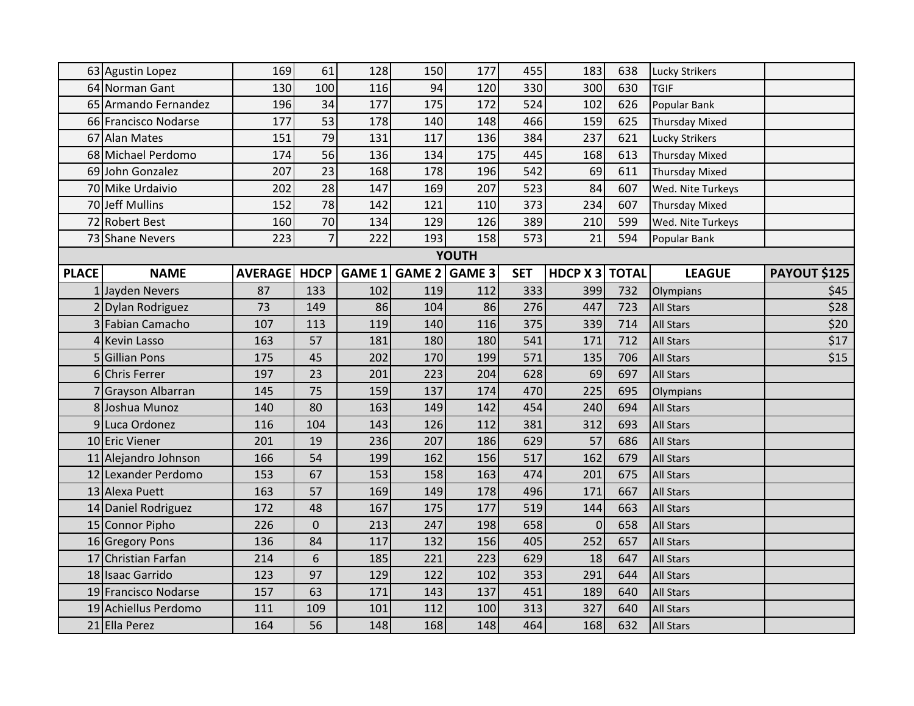|              | 63 Agustin Lopez     | 169            | 61             | 128           | 150           | 177 | 455        | 183        | 638          | Lucky Strikers        |                     |  |  |
|--------------|----------------------|----------------|----------------|---------------|---------------|-----|------------|------------|--------------|-----------------------|---------------------|--|--|
|              | 64 Norman Gant       | 130            | 100            | 116           | 94            | 120 | 330        | 300        | 630          | <b>TGIF</b>           |                     |  |  |
|              | 65 Armando Fernandez | 196            | 34             | 177           | 175           | 172 | 524        | 102        | 626          | Popular Bank          |                     |  |  |
|              | 66 Francisco Nodarse | 177            | 53             | 178           | 140           | 148 | 466        | 159        | 625          | <b>Thursday Mixed</b> |                     |  |  |
|              | 67 Alan Mates        | 151            | 79             | 131           | 117           | 136 | 384        | 237        | 621          | <b>Lucky Strikers</b> |                     |  |  |
|              | 68 Michael Perdomo   | 174            | 56             | 136           | 134           | 175 | 445        | 168        | 613          | <b>Thursday Mixed</b> |                     |  |  |
|              | 69 John Gonzalez     | 207            | 23             | 168           | 178           | 196 | 542        | 69         | 611          | <b>Thursday Mixed</b> |                     |  |  |
|              | 70 Mike Urdaivio     | 202            | 28             | 147           | 169           | 207 | 523        | 84         | 607          | Wed. Nite Turkeys     |                     |  |  |
|              | 70 Jeff Mullins      | 152            | 78             | 142           | 121           | 110 | 373        | 234        | 607          | <b>Thursday Mixed</b> |                     |  |  |
|              | 72 Robert Best       | 160            | 70             | 134           | 129           | 126 | 389        | 210        | 599          | Wed. Nite Turkeys     |                     |  |  |
|              | 73 Shane Nevers      | 223            | $\overline{7}$ | 222           | 193           | 158 | 573        | 21         | 594          | Popular Bank          |                     |  |  |
| <b>YOUTH</b> |                      |                |                |               |               |     |            |            |              |                       |                     |  |  |
| <b>PLACE</b> | <b>NAME</b>          | <b>AVERAGE</b> | <b>HDCP</b>    | <b>GAME 1</b> | GAME 2 GAME 3 |     | <b>SET</b> | HDCP $x_3$ | <b>TOTAL</b> | <b>LEAGUE</b>         | <b>PAYOUT \$125</b> |  |  |
|              | 1 Jayden Nevers      | 87             | 133            | 102           | 119           | 112 | 333        | 399        | 732          | Olympians             | \$45                |  |  |
|              | 2 Dylan Rodriguez    | 73             | 149            | 86            | 104           | 86  | 276        | 447        | 723          | <b>All Stars</b>      | \$28                |  |  |
|              | 3 Fabian Camacho     | 107            | 113            | 119           | 140           | 116 | 375        | 339        | 714          | <b>All Stars</b>      | \$20                |  |  |
|              | 4 Kevin Lasso        | 163            | 57             | 181           | 180           | 180 | 541        | 171        | 712          | <b>All Stars</b>      | \$17                |  |  |
|              | 5 Gillian Pons       | 175            | 45             | 202           | 170           | 199 | 571        | 135        | 706          | <b>All Stars</b>      | \$15                |  |  |
|              | 6 Chris Ferrer       | 197            | 23             | 201           | 223           | 204 | 628        | 69         | 697          | <b>All Stars</b>      |                     |  |  |
|              | 7 Grayson Albarran   | 145            | 75             | 159           | 137           | 174 | 470        | 225        | 695          | Olympians             |                     |  |  |
|              | 8 Joshua Munoz       | 140            | 80             | 163           | 149           | 142 | 454        | 240        | 694          | <b>All Stars</b>      |                     |  |  |
|              | 9 Luca Ordonez       | 116            | 104            | 143           | 126           | 112 | 381        | 312        | 693          | <b>All Stars</b>      |                     |  |  |
|              | 10 Eric Viener       | 201            | 19             | 236           | 207           | 186 | 629        | 57         | 686          | <b>All Stars</b>      |                     |  |  |
|              | 11 Alejandro Johnson | 166            | 54             | 199           | 162           | 156 | 517        | 162        | 679          | <b>All Stars</b>      |                     |  |  |
|              | 12 Lexander Perdomo  | 153            | 67             | 153           | 158           | 163 | 474        | 201        | 675          | <b>All Stars</b>      |                     |  |  |
|              | 13 Alexa Puett       | 163            | 57             | 169           | 149           | 178 | 496        | 171        | 667          | <b>All Stars</b>      |                     |  |  |
|              | 14 Daniel Rodriguez  | 172            | 48             | 167           | 175           | 177 | 519        | 144        | 663          | <b>All Stars</b>      |                     |  |  |
|              | 15 Connor Pipho      | 226            | $\pmb{0}$      | 213           | 247           | 198 | 658        | 0          | 658          | <b>All Stars</b>      |                     |  |  |
|              | 16 Gregory Pons      | 136            | 84             | 117           | 132           | 156 | 405        | 252        | 657          | <b>All Stars</b>      |                     |  |  |
|              | 17 Christian Farfan  | 214            | 6              | 185           | 221           | 223 | 629        | 18         | 647          | <b>All Stars</b>      |                     |  |  |
|              | 18 Isaac Garrido     | 123            | 97             | 129           | 122           | 102 | 353        | 291        | 644          | <b>All Stars</b>      |                     |  |  |
|              | 19 Francisco Nodarse | 157            | 63             | 171           | 143           | 137 | 451        | 189        | 640          | All Stars             |                     |  |  |
|              | 19 Achiellus Perdomo | 111            | 109            | 101           | 112           | 100 | 313        | 327        | 640          | <b>All Stars</b>      |                     |  |  |
|              | 21 Ella Perez        | 164            | 56             | 148           | 168           | 148 | 464        | 168        | 632          | <b>All Stars</b>      |                     |  |  |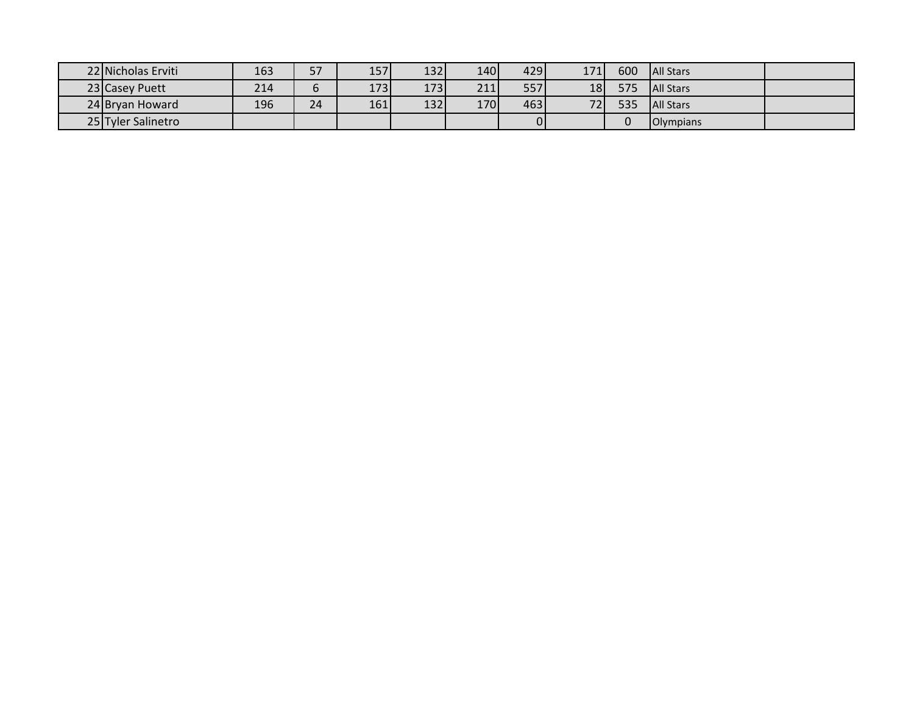| 22 Nicholas Erviti | 163 | 57 | 157 | 1321 | 140  | 429 | 171 | 600 | <b>All Stars</b> |  |
|--------------------|-----|----|-----|------|------|-----|-----|-----|------------------|--|
| 23 Casey Puett     | 214 | O  | 173 | 173  | 211  | 557 | 18  | 575 | <b>All Stars</b> |  |
| 24 Bryan Howard    | 196 | 24 | 161 | 132  | 170I | 463 | 721 | 535 | <b>All Stars</b> |  |
| 25 Tyler Salinetro |     |    |     |      |      |     |     |     | <b>Olympians</b> |  |